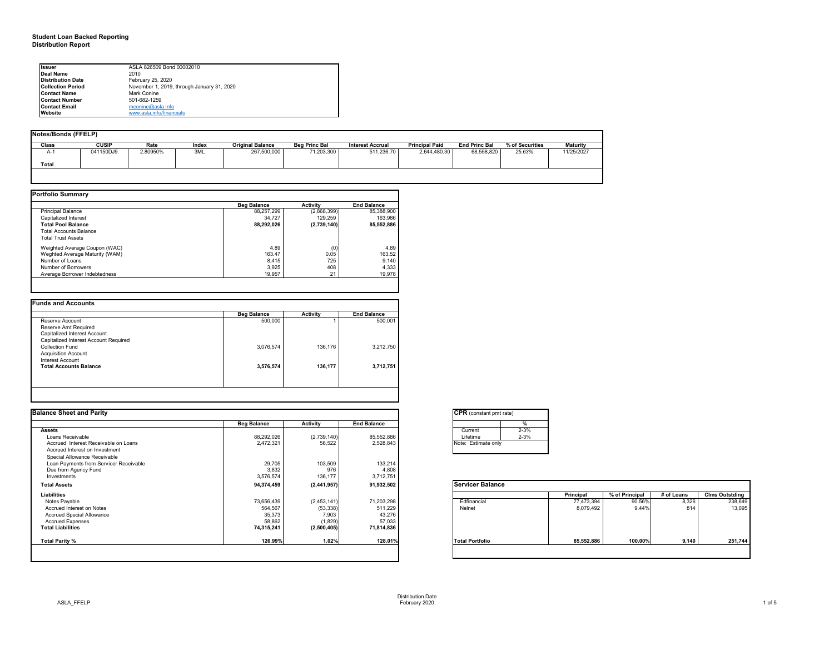# **Notes/Bonds (FFELP)**

| Notes/Bonds (FFELP) |              |          |       |                         |                      |                         |                       |                      |                 |                 |
|---------------------|--------------|----------|-------|-------------------------|----------------------|-------------------------|-----------------------|----------------------|-----------------|-----------------|
| <b>Class</b>        | <b>CUSIP</b> | Rate     | Index | <b>Original Balance</b> | <b>Beg Princ Bal</b> | <b>Interest Accrual</b> | <b>Principal Paid</b> | <b>End Princ Bal</b> | % of Securities | <b>Maturity</b> |
| A-1                 | 041150DJ9    | 2.80950% | 3ML   | 267,500,000             | 71,203,300           | $\overline{511,236.70}$ | 2,644,480.30          | 68,558,820           | 25.63%          | 11/25/2027      |
|                     |              |          |       |                         |                      |                         |                       |                      |                 |                 |
| <b>Total</b>        |              |          |       |                         |                      |                         |                       |                      |                 |                 |
|                     |              |          |       |                         |                      |                         |                       |                      |                 |                 |

|                                | <b>Beg Balance</b> | <b>Activity</b> | <b>End Balance</b> |
|--------------------------------|--------------------|-----------------|--------------------|
| <b>Principal Balance</b>       | 88,257,299         | (2,868,399)     | 85,388,900         |
| Capitalized Interest           | 34,727             | 129,259         | 163,986            |
| <b>Total Pool Balance</b>      | 88,292,026         | (2,739,140)     | 85,552,886         |
| <b>Total Accounts Balance</b>  |                    |                 |                    |
| <b>Total Trust Assets</b>      |                    |                 |                    |
| Weighted Average Coupon (WAC)  | 4.89               | (0)             | 4.89               |
| Weghted Average Maturity (WAM) | 163.47             | 0.05            | 163.52             |
| Number of Loans                | 8,415              | 725             | 9,140              |
| Number of Borrowers            | 3,925              | 408             | 4,333              |
| Average Borrower Indebtedness  | 19,957             | 21              | 19,978             |

| <b>Funds and Accounts</b>             |                    |                 |                    |
|---------------------------------------|--------------------|-----------------|--------------------|
|                                       | <b>Beg Balance</b> | <b>Activity</b> | <b>End Balance</b> |
| Reserve Account                       | 500,000            |                 | 500,001            |
| Reserve Amt Required                  |                    |                 |                    |
| Capitalized Interest Account          |                    |                 |                    |
| Capitalized Interest Account Required |                    |                 |                    |
| <b>Collection Fund</b>                | 3,076,574          | 136,176         | 3,212,750          |
| <b>Acquisition Account</b>            |                    |                 |                    |
| <b>Interest Account</b>               |                    |                 |                    |
| <b>Total Accounts Balance</b>         | 3,576,574          | 136,177         | 3,712,751          |
|                                       |                    |                 |                    |
|                                       |                    |                 |                    |
|                                       |                    |                 |                    |

| <b>I</b> lssuer          | ASLA 826509 Bond 00002010                  |
|--------------------------|--------------------------------------------|
| Deal Name                | 2010                                       |
| Distribution Date        | February 25, 2020                          |
| <b>Collection Period</b> | November 1, 2019, through January 31, 2020 |
| <b>Contact Name</b>      | Mark Conine                                |
| <b>Contact Number</b>    | 501-682-1259                               |
| <b>Contact Email</b>     | mconine@asla.info                          |
| <b>I</b> Website         | www.asla.info/financials                   |

| <b>Balance Sheet and Parity</b>        |                    |                 |                    | <b>CPR</b> (constant pmt rate) |            |                |            |                       |
|----------------------------------------|--------------------|-----------------|--------------------|--------------------------------|------------|----------------|------------|-----------------------|
|                                        | <b>Beg Balance</b> | <b>Activity</b> | <b>End Balance</b> | %                              |            |                |            |                       |
| <b>Assets</b>                          |                    |                 |                    | $2 - 3%$<br>Current            |            |                |            |                       |
| Loans Receivable                       | 88,292,026         | (2,739,140)     | 85,552,886         | $2 - 3%$<br>Lifetime           |            |                |            |                       |
| Accrued Interest Receivable on Loans   | 2,472,321          | 56,522          | 2,528,843          | Note: Estimate only            |            |                |            |                       |
| Accrued Interest on Investment         |                    |                 |                    |                                |            |                |            |                       |
| Special Allowance Receivable           |                    |                 |                    |                                |            |                |            |                       |
| Loan Payments from Servicer Receivable | 29,705             | 103,509         | 133,214            |                                |            |                |            |                       |
| Due from Agency Fund                   | 3,832              | 976             | 4,808              |                                |            |                |            |                       |
| Investments                            | 3,576,574          | 136,177         | 3,712,751          |                                |            |                |            |                       |
| <b>Total Assets</b>                    | 94,374,459         | (2,441,957)     | 91,932,502         | <b>Servicer Balance</b>        |            |                |            |                       |
| Liabilities                            |                    |                 |                    |                                | Principal  | % of Principal | # of Loans | <b>Clms Outstding</b> |
| Notes Payable                          | 73,656,439         | (2,453,141)     | 71,203,298         | Edfinancial                    | 77,473,394 | 90.56%         | 8,326      | 238,649               |
| Accrued Interest on Notes              | 564,567            | (53, 338)       | 511,229            | Nelnet                         | 8,079,492  | 9.44%          | 814        | 13,095                |
| <b>Accrued Special Allowance</b>       | 35,373             | 7,903           | 43,276             |                                |            |                |            |                       |
| <b>Accrued Expenses</b>                | 58,862             | (1,829)         | 57,033             |                                |            |                |            |                       |
| <b>Total Liabilities</b>               | 74,315,241         | (2,500,405)     | 71,814,836         |                                |            |                |            |                       |
| <b>Total Parity %</b>                  | 126.99%            | 1.02%           | 128.01%            | <b>Total Portfolio</b>         | 85,552,886 | 100.00%        | 9,140      | 251,744               |
|                                        |                    |                 |                    |                                |            |                |            |                       |

|  | CPR  | í |
|--|------|---|
|  |      |   |
|  | Curr |   |
|  | ifet |   |
|  |      |   |

|                        | <b>Principal</b> | % of Principal | # of Loans | <b>Clms Outstding</b> |
|------------------------|------------------|----------------|------------|-----------------------|
| Edfinancial            | 77,473,394       | 90.56%         | 8,326      | 238,649               |
| <b>Nelnet</b>          | 8,079,492        | 9.44%          | 814        | 13,095                |
| <b>Total Portfolio</b> | 85,552,886       | 100.00%        | 9,140      | 251,744               |

| onstant pmt rate) |          |  |  |  |  |  |
|-------------------|----------|--|--|--|--|--|
|                   | $\%$     |  |  |  |  |  |
| nt.               | $2 - 3%$ |  |  |  |  |  |
| me                | $2 - 3%$ |  |  |  |  |  |
| stimate only      |          |  |  |  |  |  |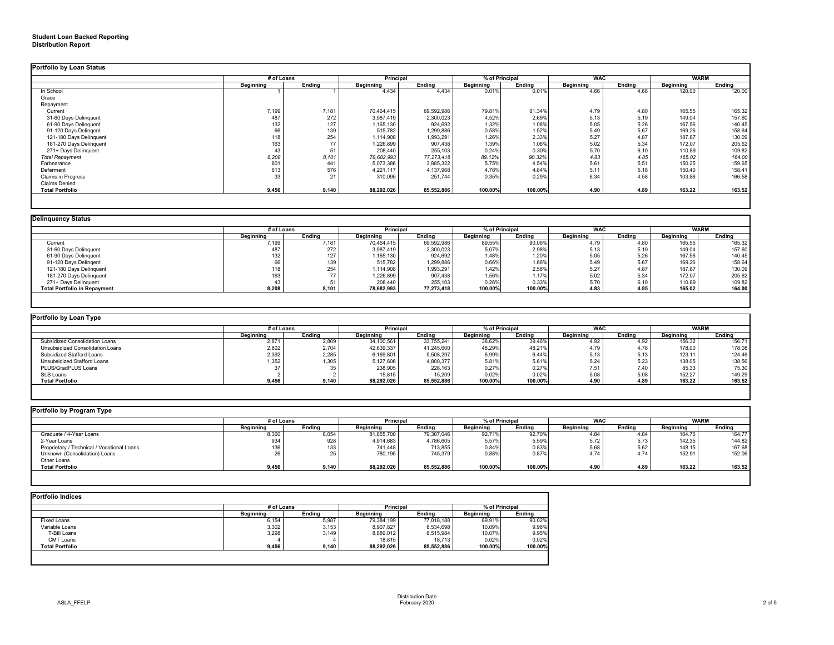# **Student Loan Backed Reporting Distribution Report**

|                         | # of Loans       |               | <b>Principal</b> |               | % of Principal   |               | <b>WAC</b>       |        | <b>WARM</b>      |               |
|-------------------------|------------------|---------------|------------------|---------------|------------------|---------------|------------------|--------|------------------|---------------|
|                         | <b>Beginning</b> | <b>Ending</b> | <b>Beginning</b> | <b>Ending</b> | <b>Beginning</b> | <b>Ending</b> | <b>Beginning</b> | Ending | <b>Beginning</b> | <b>Ending</b> |
| In School               |                  |               | 4,434            | 4,434         | 0.01%            | 0.01%         | 4.66             | 4.66   | 120.00           | 120.00        |
| Grace                   |                  |               |                  |               |                  |               |                  |        |                  |               |
| Repayment               |                  |               |                  |               |                  |               |                  |        |                  |               |
| Current                 | 7,199            | 7,181         | 70,464,415       | 69,592,986    | 79.81%           | 81.34%        | 4.79             | 4.80   | 165.55           | 165.32        |
| 31-60 Days Delinquent   | 487              | 272           | 3,987,419        | 2,300,023     | 4.52%            | 2.69%         | 5.13             | 5.19   | 149.04           | 157.60        |
| 61-90 Days Delinquent   | 132              | 127           | 1,165,130        | 924,692       | 1.32%            | 1.08%         | 5.05             | 5.26   | 167.56           | 140.45        |
| 91-120 Days Delingent   | 66               | 139           | 515,782          | 1,299,886     | 0.58%            | 1.52%         | 5.49             | 5.67   | 169.26           | 158.64        |
| 121-180 Days Delinquent | 118              | 254           | 1,114,908        | 1,993,291     | 1.26%            | 2.33%         | 5.27             | 4.87   | 187.87           | 130.09        |
| 181-270 Days Delinquent | 163              | 77            | 1,226,899        | 907,438       | 1.39%            | 1.06%         | 5.02             | 5.34   | 172.07           | 205.62        |
| 271+ Days Delinquent    | 43               | 51            | 208,440          | 255,103       | 0.24%            | 0.30%         | 5.70             | 6.10   | 110.89           | 109.82        |
| <b>Total Repayment</b>  | 8,208            | 8,101         | 78,682,993       | 77, 273, 418  | 89.12%           | 90.32%        | 4.83             | 4.85   | 165.02           | 164.00        |
| Forbearance             | 601              | 441           | 5,073,386        | 3,885,322     | 5.75%            | 4.54%         | 5.61             | 5.51   | 150.25           | 159.65        |
| Deferment               | 613              | 576           | 4,221,117        | 4,137,968     | 4.78%            | 4.84%         | 5.11             | 5.18   | 150.40           | 158.41        |
| Claims in Progress      | 33               | 21            | 310,095          | 251,744       | 0.35%            | 0.29%         | 6.34             | 4.58   | 103.86           | 166.58        |
| <b>Claims Denied</b>    |                  |               |                  |               |                  |               |                  |        |                  |               |
| <b>Total Portfolio</b>  | 9,456            | 9,140         | 88,292,026       | 85,552,886    | 100.00%          | 100.00%       | 4.90             | 4.89   | 163.22           | 163.52        |

| <b>Delinquency Status</b>           |                  |               |                  |               |                  |               |                  |        |                  |               |
|-------------------------------------|------------------|---------------|------------------|---------------|------------------|---------------|------------------|--------|------------------|---------------|
|                                     | # of Loans       |               | <b>Principal</b> |               | % of Principal   |               | <b>WAC</b>       |        | <b>WARM</b>      |               |
|                                     | <b>Beginning</b> | <b>Ending</b> | <b>Beginning</b> | <b>Ending</b> | <b>Beginning</b> | <b>Ending</b> | <b>Beginning</b> | Ending | <b>Beginning</b> | <b>Ending</b> |
| Current                             | 7,199            | 7,181         | 70,464,415       | 69,592,986    | 89.55%           | 90.06%        | 4.79             | 4.80   | 165.55           | 165.32        |
| 31-60 Days Delinquent               | 487              | 272           | 3,987,419        | 2,300,023     | 5.07%            | 2.98%         | 5.13             | 5.19   | 149.04           | 157.60        |
| 61-90 Days Delinquent               | 132              | 127           | 1,165,130        | 924,692       | 1.48%            | 1.20%         | 5.05             | 5.26   | 167.56           | 140.45        |
| 91-120 Days Delingent               | 66               | 139           | 515,782          | 1,299,886     | 0.66%            | 1.68%         | 5.49             | 5.67   | 169.26           | 158.64        |
| 121-180 Days Delinquent             | 118              | 254           | 1,114,908        | 1,993,291     | 1.42%            | 2.58%         | 5.27             | 4.87   | 187.87           | 130.09        |
| 181-270 Days Delinquent             | 163              | $\rightarrow$ | 1,226,899        | 907,438       | 1.56%            | 1.17%         | 5.02             | 5.34   | 172.07           | 205.62        |
| 271+ Days Delinquent                | 43               |               | 208,440          | 255,103       | 0.26%            | 0.33%         | 5.70             | 6.10   | 110.89           | 109.82        |
| <b>Total Portfolio in Repayment</b> | 8,208            | 8,101         | 78,682,993       | 77,273,418    | 100.00%          | 100.00%       | 4.83             | 4.85   | 165.02           | 164.00        |
|                                     |                  |               |                  |               |                  |               |                  |        |                  |               |

| Portfolio by Loan Type                |                  |            |                  |                                    |           |         |                  |               |                  |        |
|---------------------------------------|------------------|------------|------------------|------------------------------------|-----------|---------|------------------|---------------|------------------|--------|
|                                       |                  | # of Loans |                  | % of Principal<br><b>Principal</b> |           |         | <b>WAC</b>       |               | <b>WARM</b>      |        |
|                                       | <b>Beginning</b> | Endina     | <b>Beginning</b> | <b>Ending</b>                      | Beainnina | Ending  | <b>Beginning</b> | <b>Ending</b> | <b>Beginning</b> | Ending |
| <b>Subsidized Consolidation Loans</b> | 2,871            | 2,809      | 34,100,561       | 33,755,241                         | 38.62%    | 39.46%  | 4.92             | 1.92          | 156.32           | 156.7' |
| Unsubsidized Consolidation Loans      | 2,802            | 2,704      | 42,639,337       | 41,245,600                         | 48.29%    | 48.21%  | 4.79             | 4.78          | 178.00           | 178.08 |
| <b>Subsidized Stafford Loans</b>      | 2,392            | 2,285      | 6,169,801        | 5,508,297                          | 6.99%     | 6.44%   | 5.13             | 5.13          | 123.11           | 124.46 |
| <b>Unsubsidized Stafford Loans</b>    | ,352             | 1,305      | 5,127,606        | 4,800,377                          | 5.81%     | 5.61%   | 5.24             | 5.23          | 138.05           | 138.56 |
| PLUS/GradPLUS Loans                   |                  |            | 238,905          | 228,163                            | 0.27%     | 0.27%   | 7.51             | 7.40          | 85.33            | 75.30  |
| SLS Loans                             |                  |            | 15,815           | 15,209                             | 0.02%     | 0.02%   | 5.08             | 5.08          | 152.27           | 149.29 |
| <b>Total Portfolio</b>                | 9,456            | 9,140      | 88,292,026       | 85,552,886                         | 100.00%   | 100.00% | 4.90             | 4.89          | 163.22           | 163.52 |
|                                       |                  |            |                  |                                    |           |         |                  |               |                  |        |

|                                            | # of Loans       |               | <b>Principal</b> |               | % of Principal   |               | <b>WAC</b>       |               | <b>WARM</b>      |               |
|--------------------------------------------|------------------|---------------|------------------|---------------|------------------|---------------|------------------|---------------|------------------|---------------|
|                                            | <b>Beginning</b> | <b>Ending</b> | <b>Beginning</b> | <b>Ending</b> | <b>Beginning</b> | <b>Ending</b> | <b>Beginning</b> | <b>Ending</b> | <b>Beginning</b> | <b>Ending</b> |
| Graduate / 4-Year Loans                    | 8,360            | 8,054         | 81,855,700       | 79,307,046    | 92.71%           | 92.70%        | 4.84             | 4.84          | 164.76           | 164.77        |
| 2-Year Loans                               | 934              | 928           | 4,914,683        | 4,786,605     | 5.57%            | 5.59%         | 5.72             | 5.73          | 142.35           | 144.82        |
| Proprietary / Technical / Vocational Loans | 136              | 133           | 741,448          | 713,855       | 0.84%            | 0.83%         | 5.68             | 5.62          | 148.15           | 167.68        |
| Unknown (Consolidation) Loans              | 26               |               | 780,195          | 745,379       | 0.88%            | 0.87%         | 4.74             | 4.74          | 152.91           | 152.06        |
| Other Loans                                |                  |               |                  |               |                  |               |                  |               |                  |               |
| <b>Total Portfolio</b>                     | 9,456            | 9,140         | 88,292,026       | 85,552,886    | 100.00%          | 100.00%       | 4.90             | 4.89          | 163.22           | 163.52        |

# **Portfolio Indices Beginning**<br> **Beginning**<br> **Beginning**<br> **Beginning**<br> **Beginning**<br> **Beginning**<br> **Beginning**<br> **Beginning**<br> **Beginning**<br> **Beginning**<br> **Beginning**<br> **Beginning**<br> **Begin**<br> **Begin**<br> **Begin**<br> **Beginning**<br> **Begin**<br> **Begin**<br> **Begin**<br> Fixed Loans 6,154 5,987 | 79,384,199 | 77,018,188 | 89.91%| 90.02% Variable Loans 3,302 3,153 | 8,907,827 | 8,534,698 | 10.09%| 9.98% T-Bill Loans 3,298 3,149 | 8,889,012 | 8,515,984 | 10.07%| 9.95% CMT Loans 4 4 18,815 18,713 0.02% 0.02% **Total Portfolio 9,456 9,140 88,292,026 85,552,886 100.00% 100.00% # of Loans Principal % of Principal**

| % of Principal |         |  |  |
|----------------|---------|--|--|
| inning         | Ending  |  |  |
| 89.91%         | 90.02%  |  |  |
| 10.09%         | 9.98%   |  |  |
| 10.07%         | 9.95%   |  |  |
| 0.02%          | 0.02%   |  |  |
| 100.00%        | 100.00% |  |  |
|                |         |  |  |
|                |         |  |  |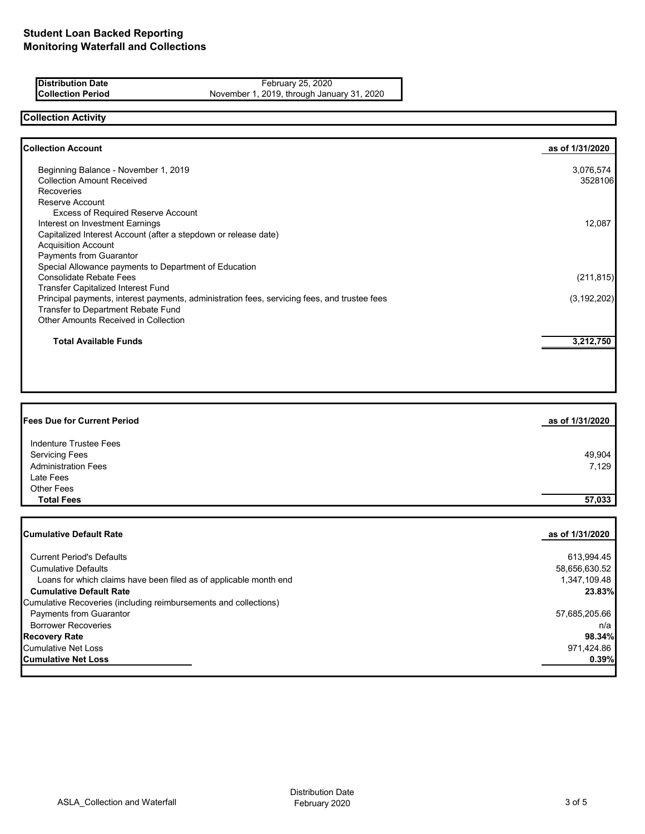| <b>Distribution Date</b> | February 25, 2020                          |
|--------------------------|--------------------------------------------|
| <b>Collection Period</b> | November 1, 2019, through January 31, 2020 |

# **Collection Activity**

| <b>Collection Account</b>                                                                    | as of 1/31/2020 |
|----------------------------------------------------------------------------------------------|-----------------|
| Beginning Balance - November 1, 2019                                                         | 3,076,574       |
| <b>Collection Amount Received</b>                                                            | 3528106         |
| <b>Recoveries</b>                                                                            |                 |
| Reserve Account                                                                              |                 |
| <b>Excess of Required Reserve Account</b>                                                    |                 |
| Interest on Investment Earnings                                                              | 12,087          |
| Capitalized Interest Account (after a stepdown or release date)                              |                 |
| <b>Acquisition Account</b>                                                                   |                 |
| Payments from Guarantor                                                                      |                 |
| Special Allowance payments to Department of Education                                        |                 |
| <b>Consolidate Rebate Fees</b>                                                               | (211, 815)      |
| <b>Transfer Capitalized Interest Fund</b>                                                    |                 |
| Principal payments, interest payments, administration fees, servicing fees, and trustee fees | (3, 192, 202)   |
| Transfer to Department Rebate Fund                                                           |                 |
| <b>Other Amounts Received in Collection</b>                                                  |                 |
| <b>Total Available Funds</b>                                                                 | 3,212,750       |

| <b>Fees Due for Current Period</b> | as of 1/31/2020 |
|------------------------------------|-----------------|
| Indenture Trustee Fees             |                 |
| <b>Servicing Fees</b>              | 49,904          |
| <b>Administration Fees</b>         | 7,129           |
| Late Fees                          |                 |
| Other Fees                         |                 |
| <b>Total Fees</b>                  | 57,033          |

| <b>Cumulative Default Rate</b>                                    | as of 1/31/2020 |
|-------------------------------------------------------------------|-----------------|
| <b>Current Period's Defaults</b>                                  | 613,994.45      |
| <b>Cumulative Defaults</b>                                        | 58,656,630.52   |
| Loans for which claims have been filed as of applicable month end | 1,347,109.48    |
| <b>Cumulative Default Rate</b>                                    | 23.83%          |
| Cumulative Recoveries (including reimbursements and collections)  |                 |
| <b>Payments from Guarantor</b>                                    | 57,685,205.66   |
| <b>Borrower Recoveries</b>                                        | n/a             |
| <b>Recovery Rate</b>                                              | 98.34%          |
| Cumulative Net Loss                                               | 971,424.86      |
| <b>Cumulative Net Loss</b>                                        | 0.39%           |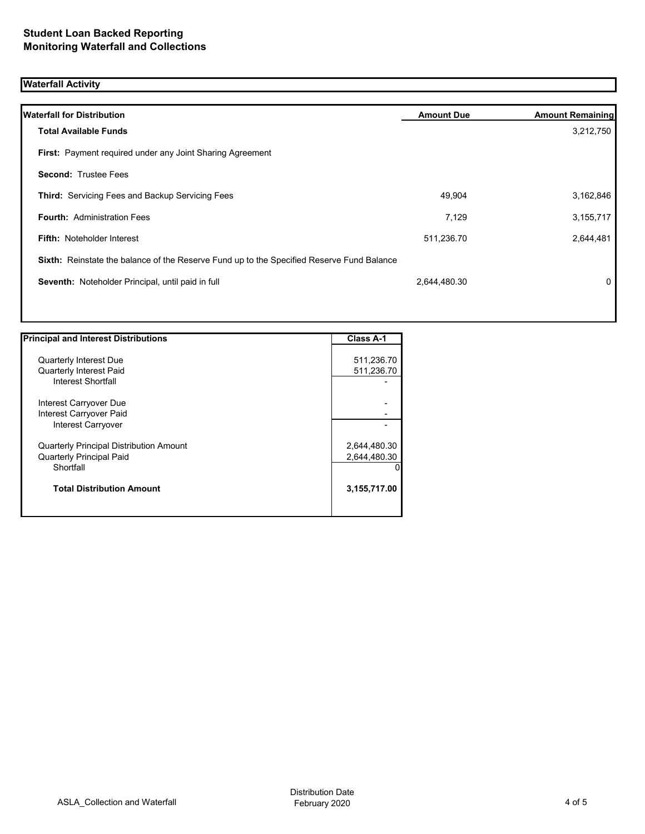# **Waterfall Activity**

| <b>Waterfall for Distribution</b>                                                         | <b>Amount Due</b> | <b>Amount Remaining</b> |
|-------------------------------------------------------------------------------------------|-------------------|-------------------------|
| <b>Total Available Funds</b>                                                              |                   | 3,212,750               |
| First: Payment required under any Joint Sharing Agreement                                 |                   |                         |
| <b>Second: Trustee Fees</b>                                                               |                   |                         |
| <b>Third: Servicing Fees and Backup Servicing Fees</b>                                    | 49,904            | 3,162,846               |
| <b>Fourth: Administration Fees</b>                                                        | 7,129             | 3, 155, 717             |
| <b>Fifth: Noteholder Interest</b>                                                         | 511,236.70        | 2,644,481               |
| Sixth: Reinstate the balance of the Reserve Fund up to the Specified Reserve Fund Balance |                   |                         |
| Seventh: Noteholder Principal, until paid in full                                         | 2,644,480.30      | $\mathbf{0}$            |
|                                                                                           |                   |                         |

| <b>Principal and Interest Distributions</b>    | <b>Class A-1</b> |
|------------------------------------------------|------------------|
|                                                |                  |
| <b>Quarterly Interest Due</b>                  | 511,236.70       |
| <b>Quarterly Interest Paid</b>                 | 511,236.70       |
| Interest Shortfall                             |                  |
| Interest Carryover Due                         |                  |
| Interest Carryover Paid                        |                  |
| <b>Interest Carryover</b>                      |                  |
| <b>Quarterly Principal Distribution Amount</b> | 2,644,480.30     |
| <b>Quarterly Principal Paid</b>                | 2,644,480.30     |
| Shortfall                                      |                  |
| <b>Total Distribution Amount</b>               | 3,155,717.00     |
|                                                |                  |